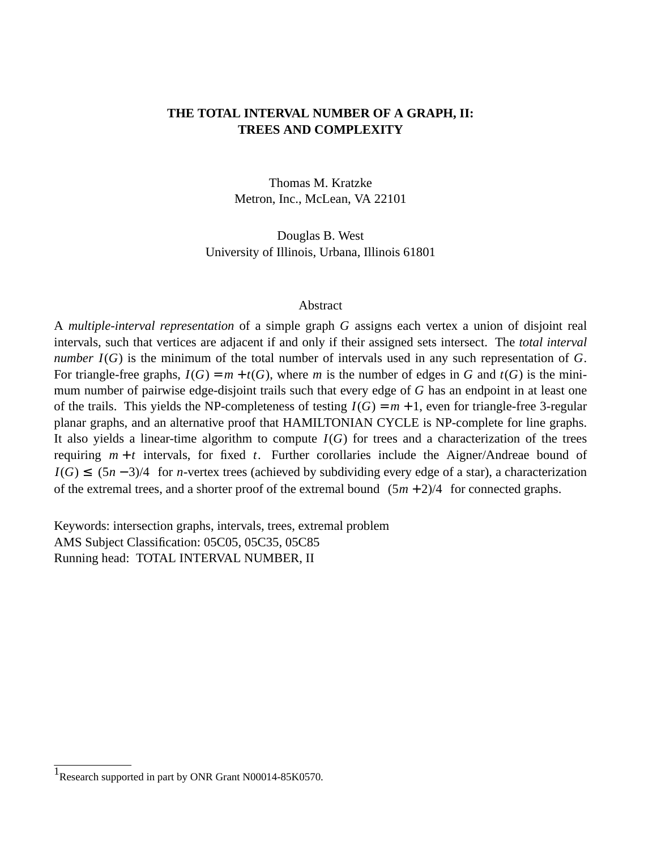# **THE TOTAL INTERVAL NUMBER OF A GRAPH, II: TREES AND COMPLEXITY**

Thomas M. Kratzke Metron, Inc., McLean, VA 22101

Douglas B. West University of Illinois, Urbana, Illinois 61801

#### Abstract

A *multiple-interval representation* of a simple graph *G* assigns each vertexaunion of disjoint real intervals, such that vertices are adjacent if and only if their assigned sets intersect. The *total interval number I*(*G*) is the minimum of the total number of intervals used in any such representation of *G*. For triangle-free graphs,  $I(G) = m + t(G)$ , where *m* is the number of edges in *G* and  $t(G)$  is the minimum number of pairwise edge-disjoint trails such that every edge of *G* has an endpoint in at least one of the trails. This yields the NP-completeness of testing  $I(G) = m + 1$ , even for triangle-free 3-regular planar graphs, and an alternative proof that HAMILTONIAN CYCLE is NP-complete for line graphs. It also yields a linear-time algorithm to compute  $I(G)$  for trees and a characterization of the trees requiring  $m + t$  intervals, for fixed  $t$ . Further corollaries include the Aigner/Andreae bound of *I*(*G*) ≤  $\lfloor (5n-3)/4 \rfloor$  for *n*-vertex trees (achieved by subdividing every edge of a star), a characterization of the extremal trees, and a shorter proof of the extremal bound  $\lfloor (5m + 2)/4 \rfloor$  for connected graphs.

Keywords: intersection graphs, intervals, trees, extremal problem AMS Subject Classification: 05C05, 05C35, 05C85 Running head: TOTAL INTERVAL NUMBER, II

 $1$ Research supported in part by ONR Grant N00014-85K0570.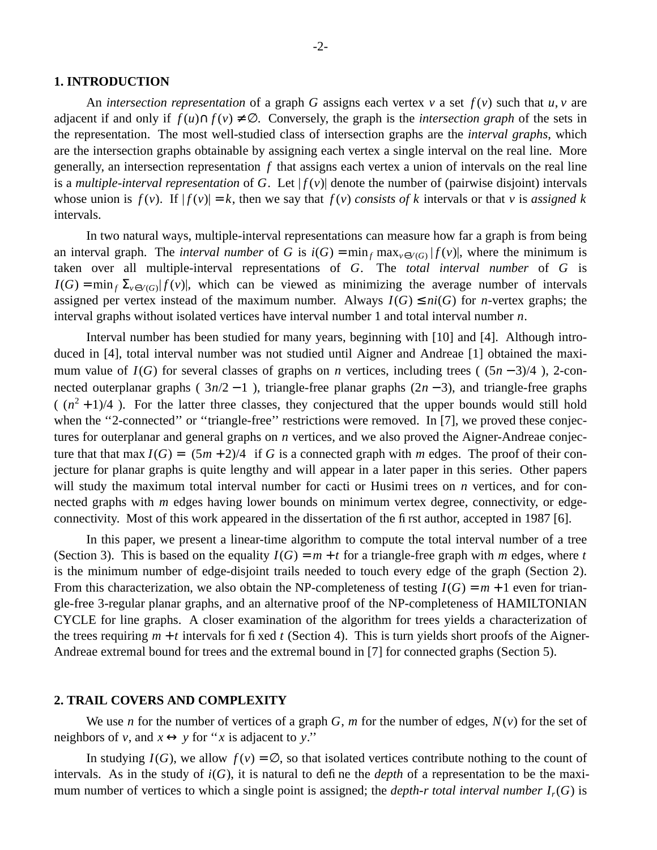#### **1. INTRODUCTION**

An *intersection representation* of a graph *G* assigns each vertex *v* a set  $f(v)$  such that *u*, *v* are adjacent if and only if  $f(u) \cap f(v) \neq \emptyset$ . Conversely, the graph is the *intersection graph* of the sets in the representation. The most well-studied class of intersection graphs are the *interval graphs*, which are the intersection graphs obtainable by assigning each vertex a single interval on the real line. More generally, an intersection representation  $f$  that assigns each vertex a union of intervals on the real line is a *multiple-interval representation* of *G*. Let  $|f(v)|$  denote the number of (pairwise disjoint) intervals whose union is  $f(v)$ . If  $|f(v)| = k$ , then we say that  $f(v)$  *consists of k* intervals or that *v* is *assigned k* intervals.

In two natural ways, multiple-interval representations can measure how far a graph is from being an interval graph. The *interval number* of *G* is  $i(G) = \min_f \max_{v \in V(G)} |f(v)|$ , where the minimum is taken over all multiple-interval representations of *G*. The *total interval number* of *G* is  $I(G) = \min_{f} \sum_{v \in V(G)} |f(v)|$ , which can be viewed as minimizing the average number of intervals assigned per vertex instead of the maximum number. Always  $I(G) \leq ni(G)$  for *n*-vertex graphs; the interval graphs without isolated vertices have interval number 1 and total interval number *n*.

Interval number has been studied for many years, beginning with [10] and [4]. Although introduced in [4], total interval number was not studied until Aigner and Andreae [1] obtained the maximum value of  $I(G)$  for several classes of graphs on *n* vertices, including trees ( $\lfloor (5n-3)/4 \rfloor$ ), 2-connected outerplanar graphs  $(3n/2 - 1)$ , triangle-free planar graphs  $(2n - 3)$ , and triangle-free graphs  $(\sqrt{(n^2+1)/4})$ . For the latter three classes, they conjectured that the upper bounds would still hold when the "2-connected" or "triangle-free" restrictions were removed. In [7], we proved these conjectures for outerplanar and general graphs on *n* vertices, and we also proved the Aigner-Andreae conjecture that that max  $I(G) = \lfloor (5m + 2)/4 \rfloor$  if *G* is a connected graph with *m* edges. The proof of their conjecture for planar graphs is quite lengthy and will appear in a later paper in this series. Other papers will study the maximum total interval number for cacti or Husimi trees on *n* vertices, and for connected graphs with *m* edges having lower bounds on minimum vertex degree, connectivity, or edgeconnectivity. Most of this work appeared in the dissertation of the first author, accepted in 1987 [6].

In this paper, we present a linear-time algorithm to compute the total interval number of a tree (Section 3). This is based on the equality  $I(G) = m + t$  for a triangle-free graph with *m* edges, where *t* is the minimum number of edge-disjoint trails needed to touch every edge of the graph (Section 2). From this characterization, we also obtain the NP-completeness of testing  $I(G) = m + 1$  even for triangle-free 3-regular planar graphs, and an alternative proof of the NP-completeness of HAMILTONIAN CYCLE for line graphs. A closer examination of the algorithm for trees yields a characterization of the trees requiring  $m + t$  intervals for fixed t (Section 4). This is turn yields short proofs of the Aigner-Andreae extremal bound for trees and the extremal bound in [7] for connected graphs (Section 5).

### **2. TRAIL COVERS AND COMPLEXITY**

We use *n* for the number of vertices of a graph *G*, *m* for the number of edges,  $N(v)$  for the set of neighbors of *v*, and  $x \leftrightarrow y$  for "*x* is adjacent to *y*."

In studying  $I(G)$ , we allow  $f(v) = \emptyset$ , so that isolated vertices contribute nothing to the count of intervals. As in the study of  $i(G)$ , it is natural to define the *depth* of a representation to be the maximum number of vertices to which a single point is assigned; the *depth-r total interval number I<sup>r</sup>* (*G*) is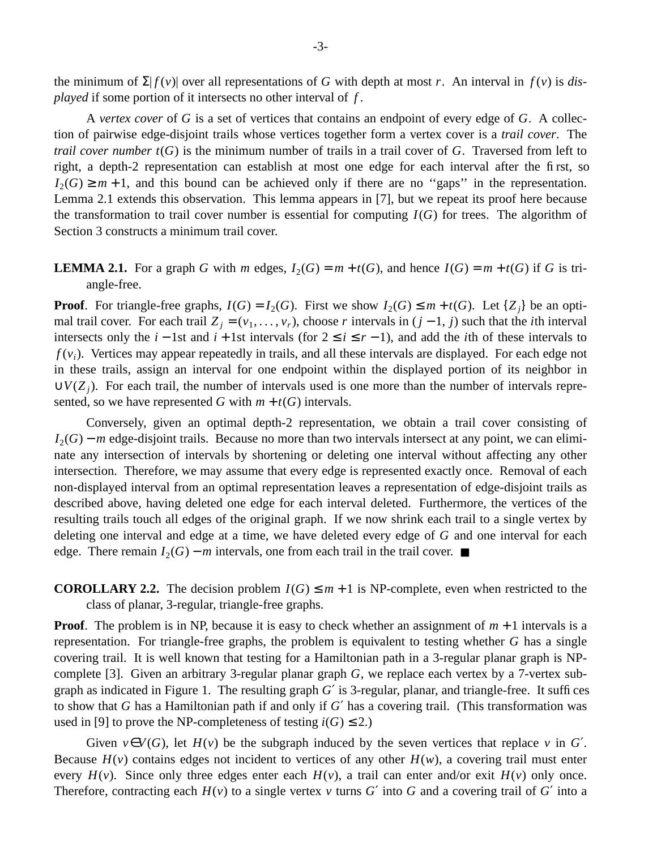the minimum of  $\Sigma |f(v)|$  over all representations of *G* with depth at most *r*. An interval in  $f(v)$  is *displayed* if some portion of it intersects no other interval of *f* .

A *vertex cover* of *G* is a set of vertices that contains an endpoint of every edge of *G*. A collection of pairwise edge-disjoint trails whose vertices together form a vertex cover is a *trail cover*. The *trail cover number t*(*G*) is the minimum number of trails in a trail cover of *G*. Traversed from left to right, a depth-2 representation can establish at most one edge for each interval after the first, so  $I_2(G) \geq m+1$ , and this bound can be achieved only if there are no "gaps" in the representation. Lemma 2.1 extends this observation. This lemma appears in [7], but we repeat its proof here because the transformation to trail cover number is essential for computing  $I(G)$  for trees. The algorithm of Section 3 constructs a minimum trail cover.

## **LEMMA 2.1.** For a graph *G* with *m* edges,  $I_2(G) = m + t(G)$ , and hence  $I(G) = m + t(G)$  if *G* is triangle-free.

**Proof**. For triangle-free graphs,  $I(G) = I_2(G)$ . First we show  $I_2(G) \le m + t(G)$ . Let  $\{Z_j\}$  be an optimal trail cover. For each trail  $Z_j = (v_1, \ldots, v_r)$ , choose *r* intervals in  $(j - 1, j)$  such that the *i*th interval intersects only the *i* − 1st and *i* + 1st intervals (for 2 ≤ *i* ≤ *r* − 1), and add the *i*th of these intervals to *f* (*v<sup>i</sup>* ). Vertices may appear repeatedly in trails, and all these intervals are displayed. For each edge not in these trails, assign an interval for one endpoint within the displayed portion of its neighbor in  $\cup V(Z_j)$ . For each trail, the number of intervals used is one more than the number of intervals represented, so we have represented *G* with  $m + t(G)$  intervals.

Conversely, given an optimal depth-2 representation, we obtain a trail cover consisting of *I*<sub>2</sub>(*G*) − *m* edge-disjoint trails. Because no more than two intervals intersect at any point, we can eliminate any intersection of intervals by shortening or deleting one interval without affecting any other intersection. Therefore, we may assume that every edge is represented exactly once. Removal of each non-displayed interval from an optimal representation leaves a representation of edge-disjoint trails as described above, having deleted one edge for each interval deleted. Furthermore, the vertices of the resulting trails touch all edges of the original graph. If we now shrink each trail to a single vertex by deleting one interval and edge at a time, we have deleted every edge of *G* and one interval for each edge. There remain  $I_2(G) - m$  intervals, one from each trail in the trail cover.  $\blacksquare$ 

## **COROLLARY 2.2.** The decision problem  $I(G) \leq m + 1$  is NP-complete, even when restricted to the class of planar, 3-regular, triangle-free graphs.

**Proof**. The problem is in NP, because it is easy to check whether an assignment of *m* + 1 intervals is a representation. For triangle-free graphs, the problem is equivalent to testing whether *G* has a single covering trail. It is well known that testing for a Hamiltonian path in a 3-regular planar graph is NPcomplete [3]. Given an arbitrary 3-regular planar graph *G*, we replace each vertex by a 7-vertex subgraph as indicated in Figure 1. The resulting graph *G*′ is 3-regular, planar, and triangle-free. It suffices to show that *G* has a Hamiltonian path if and only if *G*′ has a covering trail. (This transformation was used in [9] to prove the NP-completeness of testing  $i(G) \le 2$ .)

Given  $v \in V(G)$ , let  $H(v)$  be the subgraph induced by the seven vertices that replace *v* in *G'*. Because  $H(v)$  contains edges not incident to vertices of any other  $H(w)$ , a covering trail must enter every  $H(v)$ . Since only three edges enter each  $H(v)$ , a trail can enter and/or exit  $H(v)$  only once. Therefore, contracting each  $H(v)$  to a single vertex v turns G' into G and a covering trail of G' into a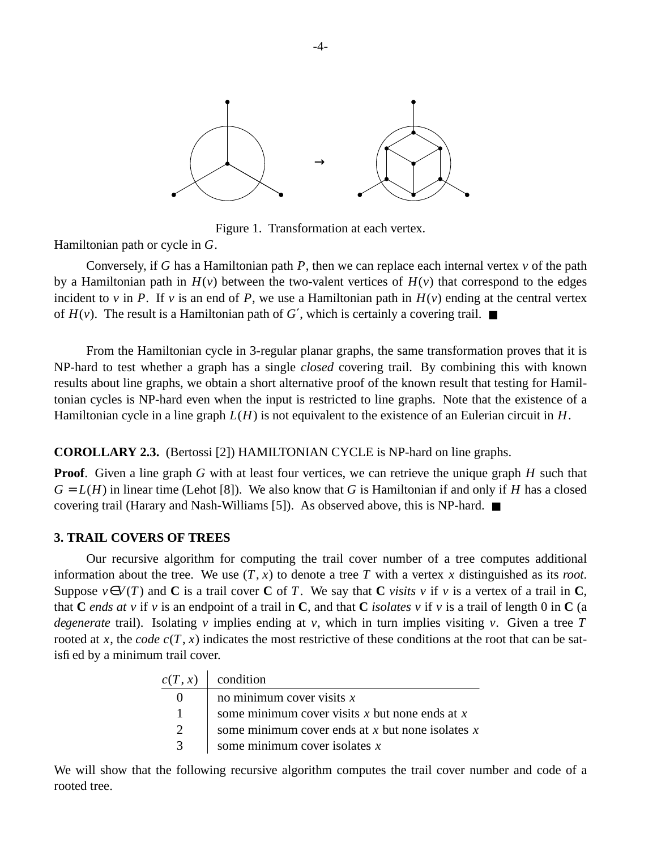

Figure 1. Transformation at each vertex.

Hamiltonian path or cycle in *G*.

Conversely, if *G* has a Hamiltonian path *P*, then we can replace each internal vertex *v* of the path by a Hamiltonian path in  $H(v)$  between the two-valent vertices of  $H(v)$  that correspond to the edges incident to  $v$  in *P*. If  $v$  is an end of *P*, we use a Hamiltonian path in  $H(v)$  ending at the central vertex of  $H(v)$ . The result is a Hamiltonian path of *G'*, which is certainly a covering trail.  $\blacksquare$ 

From the Hamiltonian cycle in 3-regular planar graphs, the same transformation proves that it is NP-hard to test whether a graph has a single *closed* covering trail. By combining this with known results about line graphs, we obtain a short alternative proof of the known result that testing for Hamiltonian cycles is NP-hard even when the input is restricted to line graphs. Note that the existence of a Hamiltonian cycle in a line graph *L*(*H*) is not equivalent to the existence of an Eulerian circuit in *H*.

## **COROLLARY 2.3.** (Bertossi [2]) HAMILTONIAN CYCLE is NP-hard on line graphs.

**Proof.** Given a line graph *G* with at least four vertices, we can retrieve the unique graph *H* such that  $G = L(H)$  in linear time (Lehot [8]). We also know that *G* is Hamiltonian if and only if *H* has a closed covering trail (Harary and Nash-Williams [5]). As observed above, this is NP-hard. ■

## **3. TRAIL COVERS OF TREES**

Our recursive algorithm for computing the trail cover number of a tree computes additional information about the tree. We use  $(T, x)$  to denote a tree T with a vertex x distinguished as its *root*. Suppose  $v \in V(T)$  and **C** is a trail cover **C** of *T*. We say that **C** *visits v* if *v* is a vertex of a trail in **C**, that **C** ends at v if v is an endpoint of a trail in **C**, and that **C** *isolates* v if v is a trail of length 0 in **C** (a *degenerate* trail). Isolating *v* implies ending at *v*, which in turn implies visiting *v*. Given a tree *T* rooted at *x*, the *code*  $c(T, x)$  indicates the most restrictive of these conditions at the root that can be satisfied by a minimum trail cover.

| c(T, x)       | condition                                          |
|---------------|----------------------------------------------------|
|               | no minimum cover visits $x$                        |
| 1             | some minimum cover visits x but none ends at x     |
| $\mathcal{D}$ | some minimum cover ends at x but none isolates $x$ |
| 3             | some minimum cover isolates $x$                    |

We will show that the following recursive algorithm computes the trail cover number and code of a rooted tree.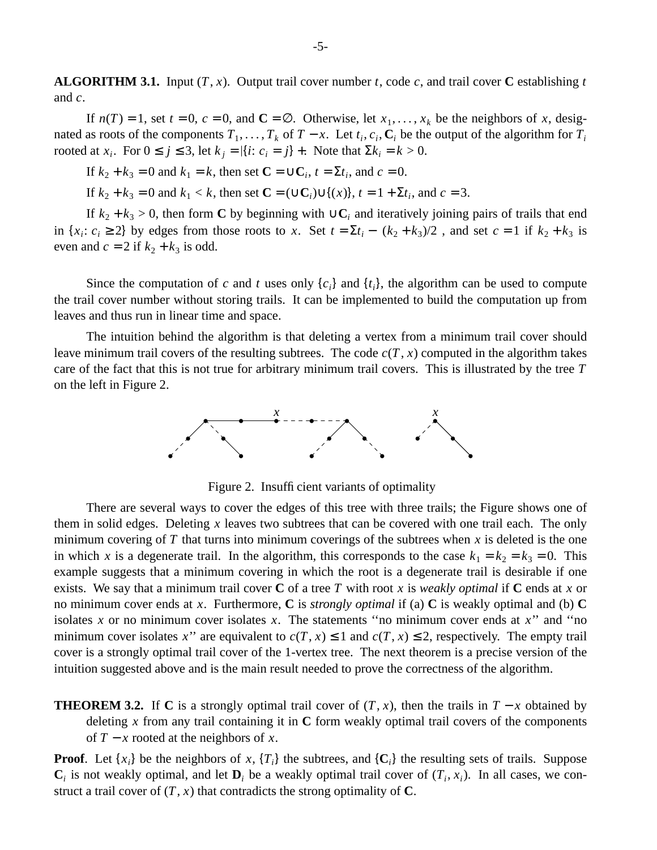**ALGORITHM 3.1.** Input  $(T, x)$ . Output trail cover number *t*, code *c*, and trail cover **C** establishing *t* and *c*.

If  $n(T) = 1$ , set  $t = 0$ ,  $c = 0$ , and  $\mathbb{C} = \emptyset$ . Otherwise, let  $x_1, \ldots, x_k$  be the neighbors of *x*, designated as roots of the components  $T_1, \ldots, T_k$  of  $T - x$ . Let  $t_i, c_i, C_i$  be the output of the algorithm for  $T_i$ rooted at  $x_i$ . For  $0 \le j \le 3$ , let  $k_j = |\{i : c_i = j\}|$ . Note that  $\Sigma k_i = k > 0$ .

If  $k_2 + k_3 = 0$  and  $k_1 = k$ , then set  $\mathbf{C} = \cup \mathbf{C}_i$ ,  $t = \Sigma t_i$ , and  $c = 0$ .

If  $k_2 + k_3 = 0$  and  $k_1 < k$ , then set  $\mathbf{C} = (\cup \mathbf{C}_i) \cup \{(x)\}, t = 1 + \Sigma t_i$ , and  $c = 3$ .

If  $k_2 + k_3 > 0$ , then form **C** by beginning with ∪**C**<sub>*i*</sub> and iteratively joining pairs of trails that end in  $\{x_i : c_i \geq 2\}$  by edges from those roots to *x*. Set  $t = \sum t_i - \lfloor (k_2 + k_3)/2 \rfloor$ , and set  $c = 1$  if  $k_2 + k_3$  is even and  $c = 2$  if  $k_2 + k_3$  is odd.

Since the computation of *c* and *t* uses only  $\{c_i\}$  and  $\{t_i\}$ , the algorithm can be used to compute the trail cover number without storing trails. It can be implemented to build the computation up from leaves and thus run in linear time and space.

The intuition behind the algorithm is that deleting a vertex from a minimum trail cover should leave minimum trail covers of the resulting subtrees. The code  $c(T, x)$  computed in the algorithm takes care of the fact that this is not true for arbitrary minimum trail covers. This is illustrated by the tree *T* on the left in Figure 2.



Figure 2. Insufficient variants of optimality

There are several ways to cover the edges of this tree with three trails; the Figure shows one of them in solid edges. Deleting *x* leaves two subtrees that can be covered with one trail each. The only minimum covering of  $T$  that turns into minimum coverings of the subtrees when  $x$  is deleted is the one in which *x* is a degenerate trail. In the algorithm, this corresponds to the case  $k_1 = k_2 = k_3 = 0$ . This example suggests that a minimum covering in which the root is a degenerate trail is desirable if one exists. We say that a minimum trail cover **C** of a tree *T* with root *x* is *weakly optimal* if **C** ends at *x* or no minimum cover ends at *x*. Furthermore, **C** is *strongly optimal* if (a) **C** is weakly optimal and (b) **C** isolates *x* or no minimum cover isolates *x*. The statements ''no minimum cover ends at *x*'' and ''no minimum cover isolates *x*<sup>"</sup> are equivalent to  $c(T, x) \le 1$  and  $c(T, x) \le 2$ , respectively. The empty trail cover is a strongly optimal trail cover of the 1-vertex tree. The next theorem is a precise version of the intuition suggested above and is the main result needed to prove the correctness of the algorithm.

**THEOREM 3.2.** If **C** is a strongly optimal trail cover of  $(T, x)$ , then the trails in  $T - x$  obtained by deleting *x* from any trail containing it in **C** form weakly optimal trail covers of the components of  $T − x$  rooted at the neighbors of  $x$ .

**Proof**. Let  $\{x_i\}$  be the neighbors of  $x$ ,  $\{T_i\}$  the subtrees, and  $\{C_i\}$  the resulting sets of trails. Suppose  $\mathbf{C}_i$  is not weakly optimal, and let  $\mathbf{D}_i$  be a weakly optimal trail cover of  $(T_i, x_i)$ . In all cases, we construct a trail cover of  $(T, x)$  that contradicts the strong optimality of **C**.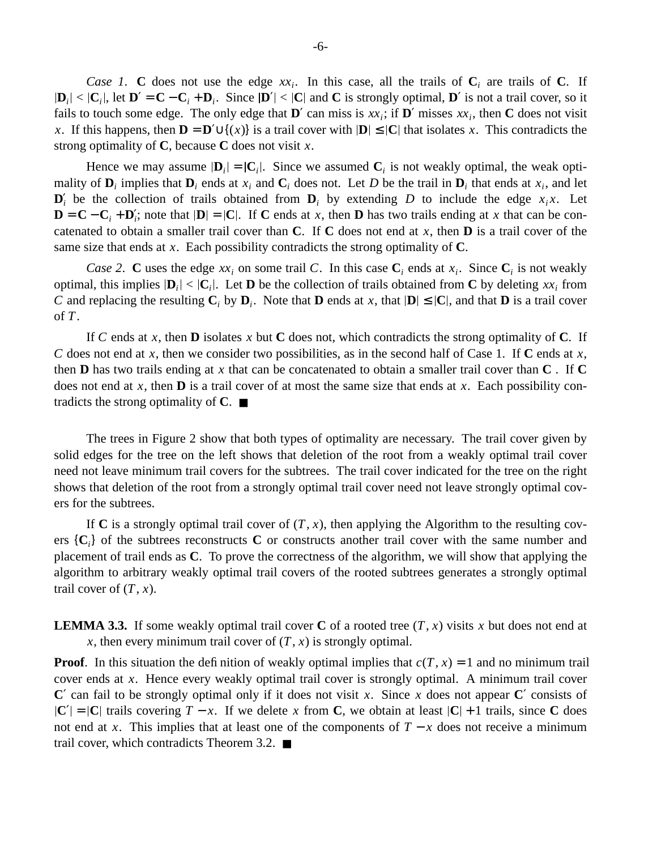*Case 1.* **C** does not use the edge  $xx_i$ . In this case, all the trails of  $C_i$  are trails of C. If  $D_i \leq |C_i|$ , let  $D' = C - C_i + D_i$ . Since  $|D'| < |C|$  and C is strongly optimal, D' is not a trail cover, so it fails to touch some edge. The only edge that  $\mathbf{D}'$  can miss is  $xx_i$ ; if  $\mathbf{D}'$  misses  $xx_i$ , then  $\mathbf C$  does not visit *x*. If this happens, then  $\mathbf{D} = \mathbf{D}' \cup \{(x)\}$  is a trail cover with  $|\mathbf{D}| \leq |\mathbf{C}|$  that isolates *x*. This contradicts the strong optimality of **C**, because **C** does not visit *x*.

Hence we may assume  $|\mathbf{D}_i| = |\mathbf{C}_i|$ . Since we assumed  $\mathbf{C}_i$  is not weakly optimal, the weak optimality of  $\mathbf{D}_i$  implies that  $\mathbf{D}_i$  ends at  $x_i$  and  $\mathbf{C}_i$  does not. Let D be the trail in  $\mathbf{D}_i$  that ends at  $x_i$ , and let  $\mathbf{D}'_i$  be the collection of trails obtained from  $\mathbf{D}_i$  by extending *D* to include the edge  $x_i x$ . Let  $\mathbf{D} = \mathbf{C} - \mathbf{C}_i + \mathbf{D}'_i$ ; note that  $|\mathbf{D}| = |\mathbf{C}|$ . If **C** ends at *x*, then **D** has two trails ending at *x* that can be concatenated to obtain a smaller trail cover than **C**. If **C** does not end at *x*, then **D** is a trail cover of the same size that ends at *x*. Each possibility contradicts the strong optimality of **C**.

*Case 2.* **C** uses the edge  $xx_i$  on some trail C. In this case  $C_i$  ends at  $x_i$ . Since  $C_i$  is not weakly optimal, this implies  $|\mathbf{D}_i| < |\mathbf{C}_i|$ . Let **D** be the collection of trails obtained from **C** by deleting  $xx_i$  from *C* and replacing the resulting  $C_i$  by  $D_i$ . Note that  $D$  ends at *x*, that  $|D| \leq |C|$ , and that  $D$  is a trail cover of *T*.

If *C* ends at *x*, then **D** isolates *x* but **C** does not, which contradicts the strong optimality of **C**. If *C* does not end at *x*, then we consider two possibilities, as in the second half of Case 1. If **C** ends at *x*, then **D** has two trails ending at *x* that can be concatenated to obtain a smaller trail cover than **C** . If **C** does not end at *x*, then **D** is a trail cover of at most the same size that ends at *x*. Each possibility contradicts the strong optimality of **C**. ■

The trees in Figure 2 show that both types of optimality are necessary. The trail cover given by solid edges for the tree on the left shows that deletion of the root from a weakly optimal trail cover need not leave minimum trail covers for the subtrees. The trail cover indicated for the tree on the right shows that deletion of the root from a strongly optimal trail cover need not leave strongly optimal covers for the subtrees.

If C is a strongly optimal trail cover of  $(T, x)$ , then applying the Algorithm to the resulting covers {**C***<sup>i</sup>* } of the subtrees reconstructs **C** or constructs another trail cover with the same number and placement of trail ends as **C**. To prove the correctness of the algorithm, we will show that applying the algorithm to arbitrary weakly optimal trail covers of the rooted subtrees generates a strongly optimal trail cover of  $(T, x)$ .

**LEMMA 3.3.** If some weakly optimal trail cover **C** of a rooted tree  $(T, x)$  visits x but does not end at *x*, then every minimum trail cover of  $(T, x)$  is strongly optimal.

**Proof**. In this situation the definition of weakly optimal implies that  $c(T, x) = 1$  and no minimum trail cover ends at *x*. Hence every weakly optimal trail cover is strongly optimal. A minimum trail cover **C**′ can fail to be strongly optimal only if it does not visit *x*. Since *x* does not appear **C**′ consists of  $|C'| = |C|$  trails covering  $T - x$ . If we delete *x* from **C**, we obtain at least  $|C| + 1$  trails, since **C** does not end at *x*. This implies that at least one of the components of  $T - x$  does not receive a minimum trail cover, which contradicts Theorem 3.2. ■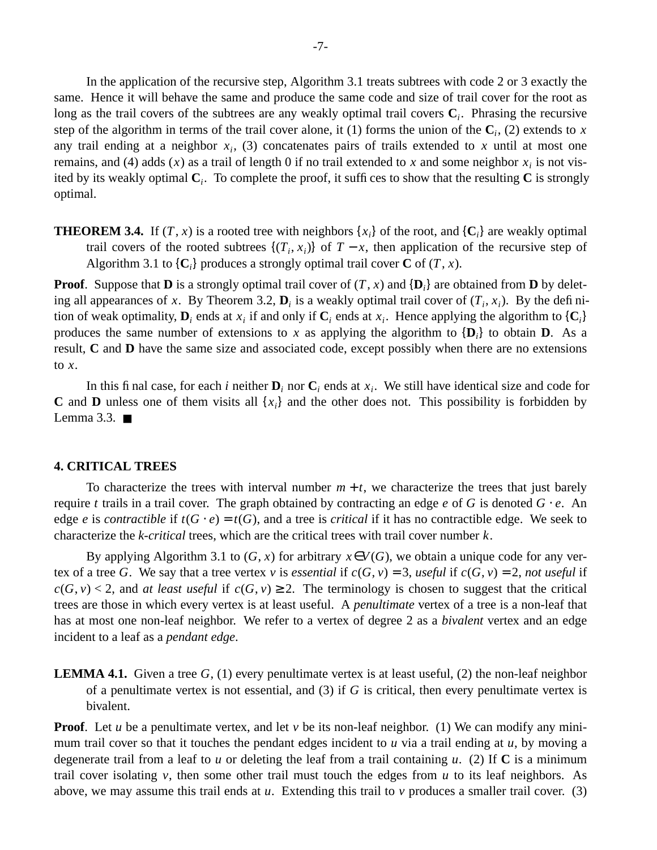In the application of the recursive step, Algorithm 3.1 treats subtrees with code 2 or 3 exactly the same. Hence it will behave the same and produce the same code and size of trail cover for the root as long as the trail covers of the subtrees are any weakly optimal trail covers **C***<sup>i</sup>* . Phrasing the recursive step of the algorithm in terms of the trail cover alone, it (1) forms the union of the  $C_i$ , (2) extends to *x* any trail ending at a neighbor  $x_i$ , (3) concatenates pairs of trails extended to  $x$  until at most one remains, and (4) adds  $(x)$  as a trail of length 0 if no trail extended to  $x$  and some neighbor  $x_i$  is not visited by its weakly optimal **C***<sup>i</sup>* . To complete the proof, it suffices to show that the resulting **C** is strongly optimal.

**THEOREM 3.4.** If  $(T, x)$  is a rooted tree with neighbors  $\{x_i\}$  of the root, and  $\{C_i\}$  are weakly optimal trail covers of the rooted subtrees  $\{(T_i, x_i)\}\$  of  $T - x$ , then application of the recursive step of Algorithm 3.1 to  $\{C_i\}$  produces a strongly optimal trail cover  $C$  of  $(T, x)$ .

**Proof**. Suppose that **D** is a strongly optimal trail cover of (*T*, *x*) and {**D***<sup>i</sup>* } are obtained from **D** by deleting all appearances of *x*. By Theorem 3.2,  $\mathbf{D}_i$  is a weakly optimal trail cover of  $(T_i, x_i)$ . By the definition of weak optimality,  $D_i$  ends at  $x_i$  if and only if  $C_i$  ends at  $x_i$ . Hence applying the algorithm to  $\{C_i\}$ produces the same number of extensions to x as applying the algorithm to  $\{D_i\}$  to obtain **D**. As a result, **C** and **D** have the same size and associated code, except possibly when there are no extensions to *x*.

In this final case, for each *i* neither  $D_i$  nor  $C_i$  ends at  $x_i$ . We still have identical size and code for **C** and **D** unless one of them visits all  $\{x_i\}$  and the other does not. This possibility is forbidden by Lemma 3.3.  $\blacksquare$ 

## **4. CRITICAL TREES**

To characterize the trees with interval number  $m + t$ , we characterize the trees that just barely require *t* trails in a trail cover. The graph obtained by contracting an edge *e* of *G* is denoted *G* ⋅ *e*. An edge *e* is *contractible* if  $t(G \cdot e) = t(G)$ , and a tree is *critical* if it has no contractible edge. We seek to characterize the *k-critical* trees, which are the critical trees with trail cover number *k*.

By applying Algorithm 3.1 to  $(G, x)$  for arbitrary  $x \in V(G)$ , we obtain a unique code for any vertex of a tree *G*. We say that a tree vertex *v* is *essential* if  $c(G, v) = 3$ , *useful* if  $c(G, v) = 2$ , *not useful* if  $c(G, v) < 2$ , and *at least useful* if  $c(G, v) \geq 2$ . The terminology is chosen to suggest that the critical trees are those in which every vertex is at least useful. A *penultimate* vertex ofatree is a non-leaf that has at most one non-leaf neighbor. We refer to a vertex of degree 2 as a *bivalent* vertex and an edge incident to a leaf as a *pendant edge*.

**LEMMA 4.1.** Given a tree  $G$ , (1) every penultimate vertex is at least useful, (2) the non-leaf neighbor of a penultimate vertex is not essential, and (3) if *G* is critical, then every penultimate vertex is bivalent.

**Proof.** Let *u* be a penultimate vertex, and let *v* be its non-leaf neighbor. (1) We can modify any minimum trail cover so that it touches the pendant edges incident to *u* via a trail ending at *u*, by moving a degenerate trail from a leaf to *u* or deleting the leaf from a trail containing *u*. (2) If **C** is a minimum trail cover isolating  $\nu$ , then some other trail must touch the edges from  $\nu$  to its leaf neighbors. As above, we may assume this trail ends at  $u$ . Extending this trail to  $v$  produces a smaller trail cover. (3)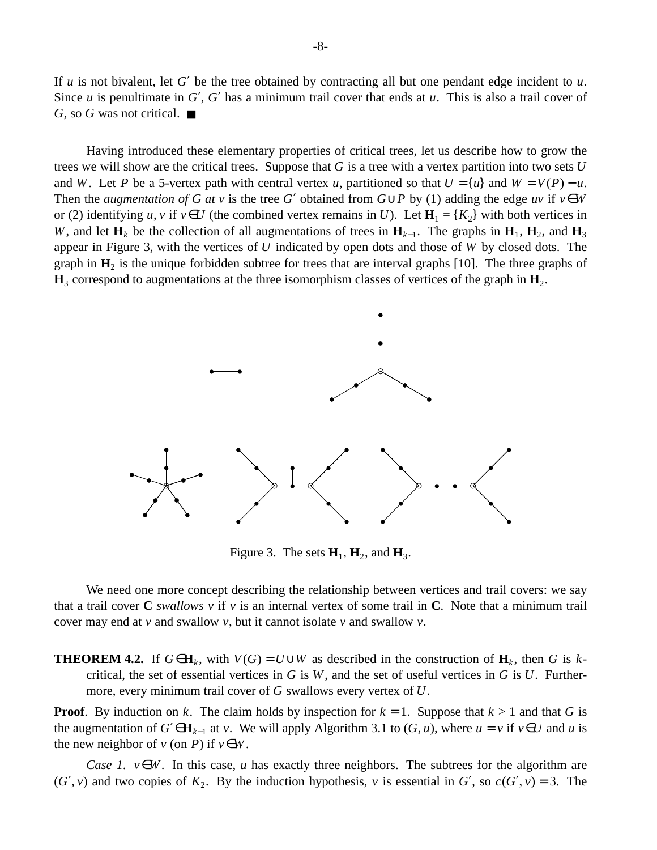If *u* is not bivalent, let *G*′ be the tree obtained by contracting all but one pendant edge incident to *u*. Since *u* is penultimate in *G'*, *G'* has a minimum trail cover that ends at *u*. This is also a trail cover of *G*, so *G* was not critical. ■

Having introduced these elementary properties of critical trees, let us describe how to grow the trees we will show are the critical trees. Suppose that *G* is a tree with a vertex partition into two sets *U* and *W*. Let *P* be a 5-vertex path with central vertex *u*, partitioned so that  $U = \{u\}$  and  $W = V(P) - u$ . Then the *augmentation of G at v* is the tree *G'* obtained from  $G \cup P$  by (1) adding the edge *uv* if  $v \in W$ or (2) identifying *u*, *v* if  $v \in U$  (the combined vertex remains in *U*). Let  $H_1 = \{K_2\}$  with both vertices in *W*, and let  $H_k$  be the collection of all augmentations of trees in  $H_{k-1}$ . The graphs in  $H_1$ ,  $H_2$ , and  $H_3$ appear in Figure 3, with the vertices of *U* indicated by open dots and those of *W* by closed dots. The graph in  $H_2$  is the unique forbidden subtree for trees that are interval graphs [10]. The three graphs of  $\mathbf{H}_3$  correspond to augmentations at the three isomorphism classes of vertices of the graph in  $\mathbf{H}_2$ .



Figure 3. The sets  $H_1$ ,  $H_2$ , and  $H_3$ .

We need one more concept describing the relationship between vertices and trail covers: we say that a trail cover **C** *swallows v* if *v* is an internal vertex of some trail in **C**. Note that a minimum trail cover may end at *v* and swallow *v*, but it cannot isolate *v* and swallow *v*.

**THEOREM 4.2.** If  $G \in \mathbf{H}_k$ , with  $V(G) = U \cup W$  as described in the construction of  $\mathbf{H}_k$ , then *G* is *k*critical, the set of essential vertices in *G* is *W*, and the set of useful vertices in *G* is *U*. Furthermore, every minimum trail cover of *G* swallows every vertex of *U*.

**Proof.** By induction on *k*. The claim holds by inspection for  $k = 1$ . Suppose that  $k > 1$  and that *G* is the augmentation of *G*′∈**H**<sub>*k*−1</sub> at *v*. We will apply Algorithm 3.1 to (*G*, *u*), where *u* = *v* if *v*∈*U* and *u* is the new neighbor of  $v$  (on *P*) if  $v \in W$ .

*Case 1. v*∈*W*. In this case, *u* has exactly three neighbors. The subtrees for the algorithm are  $(G', v)$  and two copies of  $K_2$ . By the induction hypothesis, *v* is essential in  $G'$ , so  $c(G', v) = 3$ . The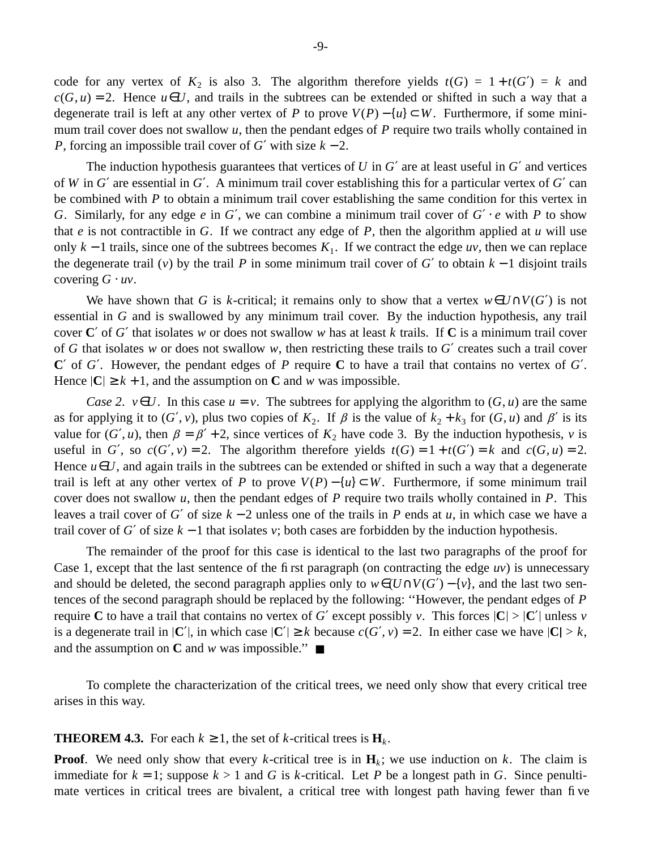code for any vertex of  $K_2$  is also 3. The algorithm therefore yields  $t(G) = 1 + t(G') = k$  and  $c(G, u) = 2$ . Hence  $u \in U$ , and trails in the subtrees can be extended or shifted in such a way that a degenerate trail is left at any other vertex of *P* to prove  $V(P) - \{u\} \subset W$ . Furthermore, if some minimum trail cover does not swallow *u*, then the pendant edges of *P* require two trails wholly contained in *P*, forcing an impossible trail cover of *G*′ with size *k* − 2.

The induction hypothesis guarantees that vertices of *U* in *G*′ are at least useful in *G*′ and vertices of *W* in *G*′ are essential in *G*′. A minimum trail cover establishing this for a particular vertex of *G*′ can be combined with *P* to obtain a minimum trail cover establishing the same condition for this vertex in *G*. Similarly, for any edge *e* in *G'*, we can combine a minimum trail cover of  $G' \cdot e$  with *P* to show that *e* is not contractible in *G*. If we contract any edge of *P*, then the algorithm applied at *u* will use only  $k - 1$  trails, since one of the subtrees becomes  $K_1$ . If we contract the edge *uv*, then we can replace the degenerate trail (*v*) by the trail *P* in some minimum trail cover of *G*<sup> $\prime$ </sup> to obtain  $k - 1$  disjoint trails covering *G* ⋅ *uv*.

We have shown that *G* is *k*-critical; it remains only to show that a vertex  $w \in U \cap V(G')$  is not essential in *G* and is swallowed by any minimum trail cover. By the induction hypothesis, any trail cover **C**′ of *G*′ that isolates *w* or does not swallow *w* has at least *k* trails. If **C** is a minimum trail cover of *G* that isolates *w* or does not swallow *w*, then restricting these trails to *G*′ creates such a trail cover **C**′ of *G*′. Howev er, the pendant edges of *P* require **C** to have a trail that contains no vertex of *G*′. Hence  $|C| \geq k + 1$ , and the assumption on C and *w* was impossible.

*Case 2. v*∈*U*. In this case  $u = v$ . The subtrees for applying the algorithm to  $(G, u)$  are the same as for applying it to  $(G', v)$ , plus two copies of  $K_2$ . If  $\beta$  is the value of  $k_2 + k_3$  for  $(G, u)$  and  $\beta'$  is its value for  $(G', u)$ , then  $\beta = \beta' + 2$ , since vertices of  $K_2$  have code 3. By the induction hypothesis, *v* is useful in *G'*, so  $c(G', v) = 2$ . The algorithm therefore yields  $t(G) = 1 + t(G') = k$  and  $c(G, u) = 2$ . Hence  $u \in U$ , and again trails in the subtrees can be extended or shifted in such a way that a degenerate trail is left at any other vertex of *P* to prove  $V(P) - \{u\} \subset W$ . Furthermore, if some minimum trail cover does not swallow *u*, then the pendant edges of *P* require two trails wholly contained in *P*. This leavesatrail cover of *G*′ of size *k* − 2 unless one of the trails in *P* ends at *u*, in which case we have a trail cover of *G*<sup> $\prime$ </sup> of size  $k - 1$  that isolates *v*; both cases are forbidden by the induction hypothesis.

The remainder of the proof for this case is identical to the last two paragraphs of the proof for Case 1, except that the last sentence of the first paragraph (on contracting the edge *uv*) is unnecessary and should be deleted, the second paragraph applies only to  $w \in (U \cap V(G') - \{v\})$ , and the last two sentences of the second paragraph should be replaced by the following: ''However, the pendant edges of *P* require **C** to have a trail that contains no vertex of *G*<sup> $\prime$ </sup> except possibly *v*. This forces  $|C| > |C'|$  unless *v* is a degenerate trail in  $|C'|$ , in which case  $|C'| \geq k$  because  $c(G', v) = 2$ . In either case we have  $|C| > k$ , and the assumption on **C** and *w* was impossible."

To complete the characterization of the critical trees, we need only show that every critical tree arises in this way.

# **THEOREM 4.3.** For each  $k \geq 1$ , the set of *k*-critical trees is  $\mathbf{H}_k$ .

**Proof.** We need only show that every *k*-critical tree is in  $\mathbf{H}_k$ ; we use induction on *k*. The claim is immediate for  $k = 1$ ; suppose  $k > 1$  and *G* is *k*-critical. Let *P* be a longest path in *G*. Since penultimate vertices in critical trees are bivalent, a critical tree with longest path having fewer than five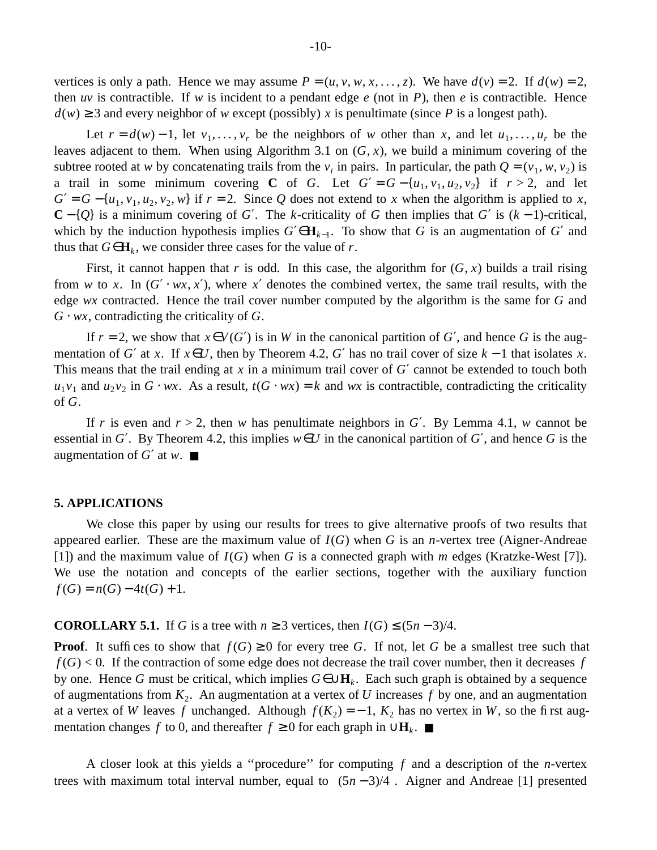vertices is only a path. Hence we may assume  $P = (u, v, w, x, \dots, z)$ . We have  $d(v) = 2$ . If  $d(w) = 2$ , then *uv* is contractible. If *w* is incident to a pendant edge *e* (not in *P*), then *e* is contractible. Hence  $d(w) \geq 3$  and every neighbor of *w* except (possibly) *x* is penultimate (since *P* is a longest path).

Let  $r = d(w) - 1$ , let  $v_1, \ldots, v_r$  be the neighbors of *w* other than *x*, and let  $u_1, \ldots, u_r$  be the leaves adjacent to them. When using Algorithm 3.1 on (*G*, *x*), we build a minimum covering of the subtree rooted at *w* by concatenating trails from the  $v_i$  in pairs. In particular, the path  $Q = (v_1, w, v_2)$  is a trail in some minimum covering **C** of *G*. Let  $G' = G - \{u_1, v_1, u_2, v_2\}$  if  $r > 2$ , and let  $G' = G - \{u_1, v_1, u_2, v_2, w\}$  if  $r = 2$ . Since Q does not extend to *x* when the algorithm is applied to *x*, **C** − {*Q*} is a minimum covering of *G*′. The *k*-criticality of *G* then implies that *G*′ is (*k* − 1)-critical, which by the induction hypothesis implies  $G' \in \mathbf{H}_{k-1}$ . To show that *G* is an augmentation of *G'* and thus that  $G \in \mathbf{H}_k$ , we consider three cases for the value of *r*.

First, it cannot happen that *r* is odd. In this case, the algorithm for  $(G, x)$  builds a trail rising from *w* to *x*. In  $(G' \cdot wx, x')$ , where *x'* denotes the combined vertex, the same trail results, with the edge *wx* contracted. Hence the trail cover number computed by the algorithm is the same for *G* and  $G \cdot wx$ , contradicting the criticality of  $G$ .

If  $r = 2$ , we show that  $x \in V(G')$  is in *W* in the canonical partition of *G'*, and hence *G* is the augmentation of *G'* at *x*. If  $x \in U$ , then by Theorem 4.2, *G'* has no trail cover of size  $k - 1$  that isolates *x*. This means that the trail ending at *x* in a minimum trail cover of *G*′ cannot be extended to touch both  $u_1v_1$  and  $u_2v_2$  in *G* ⋅ *wx*. As a result, *t*(*G* ⋅ *wx*) = *k* and *wx* is contractible, contradicting the criticality of *G*.

If *r* is even and  $r > 2$ , then *w* has penultimate neighbors in G'. By Lemma 4.1, *w* cannot be essential in *G'*. By Theorem 4.2, this implies  $w \in U$  in the canonical partition of *G'*, and hence *G* is the augmentation of  $G'$  at  $w$ .

### **5. APPLICATIONS**

We close this paper by using our results for trees to give alternative proofs of two results that appeared earlier. These are the maximum value of *I*(*G*) when *G* is an *n*-vertex tree (Aigner-Andreae [1]) and the maximum value of *I*(*G*) when *G* is a connected graph with *m* edges (Kratzke-West [7]). We use the notation and concepts of the earlier sections, together with the auxiliary function  $f(G) = n(G) - 4t(G) + 1.$ 

**COROLLARY 5.1.** If *G* is a tree with  $n \geq 3$  vertices, then  $I(G) \leq (5n-3)/4$ .

**Proof.** It suffices to show that  $f(G) \ge 0$  for every tree *G*. If not, let *G* be a smallest tree such that  $f(G)$  < 0. If the contraction of some edge does not decrease the trail cover number, then it decreases  $f$ by one. Hence *G* must be critical, which implies *G*∈∪**H***<sup>k</sup>* . Each such graph is obtained by a sequence of augmentations from *K*<sup>2</sup> . An augmentation at a vertex of *U* increases *f* by one, and an augmentation at a vertex of *W* leaves *f* unchanged. Although  $f(K_2) = -1$ ,  $K_2$  has no vertex in *W*, so the first augmentation changes *f* to 0, and thereafter  $f \ge 0$  for each graph in ∪**H**<sub>*k*</sub>. ■

A closer look at this yields a ''procedure'' for computing *f* and a description of the *n*-vertex trees with maximum total interval number, equal to  $\lfloor (5n-3)/4 \rfloor$ . Aigner and Andreae [1] presented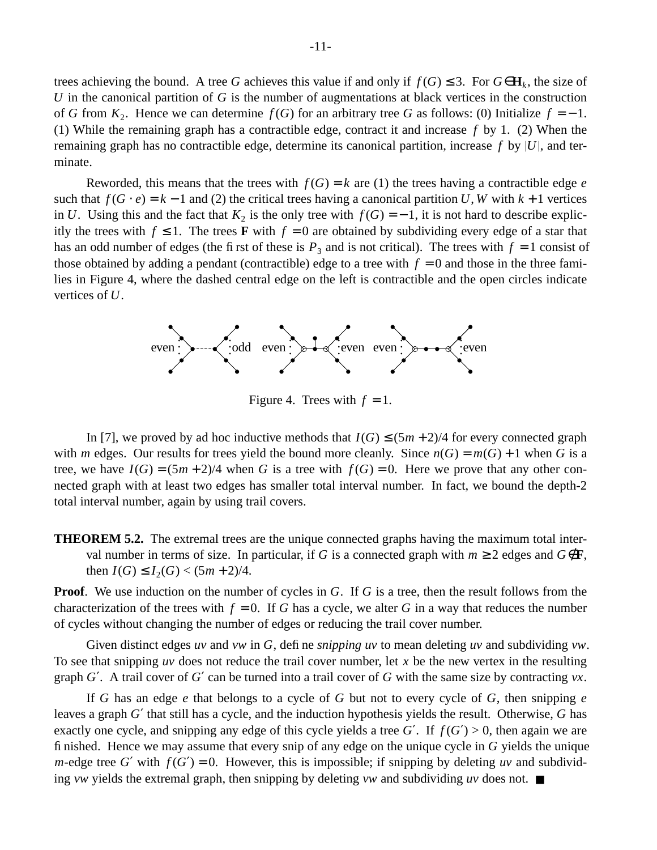trees achieving the bound. A tree *G* achieves this value if and only if  $f(G) \leq 3$ . For  $G \in \mathbf{H}_k$ , the size of *U* in the canonical partition of *G* is the number of augmentations at black vertices in the construction of *G* from  $K_2$ . Hence we can determine  $f(G)$  for an arbitrary tree *G* as follows: (0) Initialize  $f = -1$ . (1) While the remaining graph has a contractible edge, contract it and increase *f* by 1. (2) When the remaining graph has no contractible edge, determine its canonical partition, increase *f* by *U* , and terminate.

Reworded, this means that the trees with  $f(G) = k$  are (1) the trees having a contractible edge *e* such that  $f(G \cdot e) = k - 1$  and (2) the critical trees having a canonical partition *U*, *W* with  $k + 1$  vertices in *U*. Using this and the fact that  $K_2$  is the only tree with  $f(G) = -1$ , it is not hard to describe explicitly the trees with  $f \le 1$ . The trees **F** with  $f = 0$  are obtained by subdividing every edge of a star that has an odd number of edges (the first of these is  $P_3$  and is not critical). The trees with  $f = 1$  consist of those obtained by adding a pendant (contractible) edge to a tree with  $f = 0$  and those in the three families in Figure 4, where the dashed central edge on the left is contractible and the open circles indicate vertices of *U*.



Figure 4. Trees with  $f = 1$ .

In [7], we proved by ad hoc inductive methods that  $I(G) \leq (5m + 2)/4$  for every connected graph with *m* edges. Our results for trees yield the bound more cleanly. Since  $n(G) = m(G) + 1$  when *G* is a tree, we have  $I(G) = (5m + 2)/4$  when *G* is a tree with  $f(G) = 0$ . Here we prove that any other connected graph with at least two edges has smaller total interval number. In fact, we bound the depth-2 total interval number, again by using trail covers.

**THEOREM 5.2.** The extremal trees are the unique connected graphs having the maximum total interval number in terms of size. In particular, if *G* is a connected graph with  $m \geq 2$  edges and  $G \notin \mathbf{F}$ , then  $I(G) \leq I_2(G) < (5m + 2)/4$ .

**Proof.** We use induction on the number of cycles in *G*. If *G* is a tree, then the result follows from the characterization of the trees with  $f = 0$ . If *G* has a cycle, we alter *G* in a way that reduces the number of cycles without changing the number of edges or reducing the trail cover number.

Given distinct edges *uv* and *vw* in *G*, define *snipping uv* to mean deleting *uv* and subdividing *vw*. To see that snipping *uv* does not reduce the trail cover number, let *x* be the new vertex in the resulting graph *G*′. A trail cover of *G*′ can be turned into a trail cover of *G* with the same size by contracting *vx*.

If *G* has an edge *e* that belongs to a cycle of *G* but not to every cycle of *G*, then snipping *e* leaves a graph *G*' that still has a cycle, and the induction hypothesis yields the result. Otherwise, *G* has exactly one cycle, and snipping any edge of this cycle yields a tree *G'*. If  $f(G') > 0$ , then again we are finished. Hence we may assume that every snip of any edge on the unique cycle in *G* yields the unique *m*-edge tree *G*' with  $f(G') = 0$ . However, this is impossible; if snipping by deleting *uv* and subdividing *vw* yields the extremal graph, then snipping by deleting *vw* and subdividing *uv* does not. ■